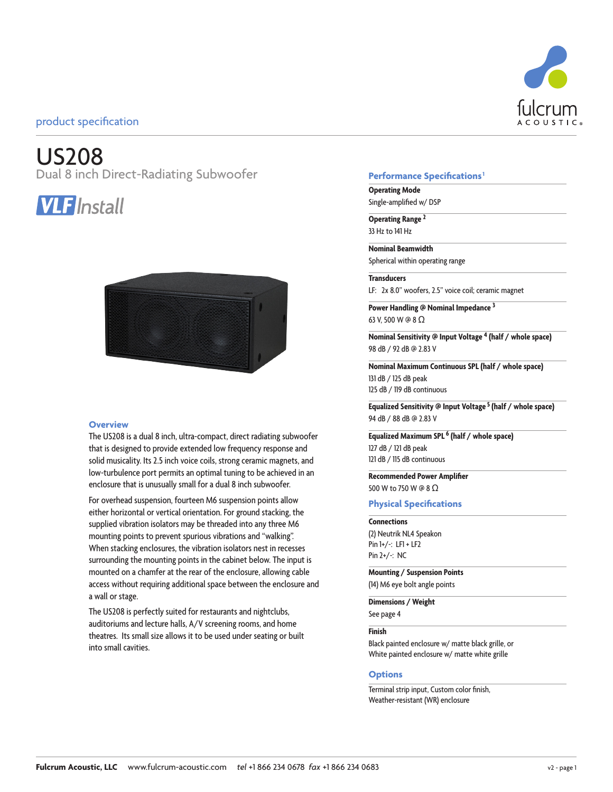# US208

Dual 8 inch Direct-Radiating Subwoofer





#### **Overview**

The US208 is a dual 8 inch, ultra-compact, direct radiating subwoofer that is designed to provide extended low frequency response and solid musicality. Its 2.5 inch voice coils, strong ceramic magnets, and low-turbulence port permits an optimal tuning to be achieved in an enclosure that is unusually small for a dual 8 inch subwoofer.

For overhead suspension, fourteen M6 suspension points allow either horizontal or vertical orientation. For ground stacking, the supplied vibration isolators may be threaded into any three M6 mounting points to prevent spurious vibrations and "walking". When stacking enclosures, the vibration isolators nest in recesses surrounding the mounting points in the cabinet below. The input is mounted on a chamfer at the rear of the enclosure, allowing cable access without requiring additional space between the enclosure and a wall or stage.

The US208 is perfectly suited for restaurants and nightclubs, auditoriums and lecture halls, A/V screening rooms, and home theatres. Its small size allows it to be used under seating or built into small cavities.

### **Performance Specifications1**

**Operating Mode** Single-amplified w/ DSP

**Operating Range <sup>2</sup>** 33 Hz to 141 Hz

**Nominal Beamwidth**

Spherical within operating range **Transducers**

LF: 2x 8.0" woofers, 2.5" voice coil; ceramic magnet

**Power Handling @ Nominal Impedance 3** 63 V, 500 W @ 8 Ω

**Nominal Sensitivity @ Input Voltage 4 (half / whole space)** 98 dB / 92 dB @ 2.83 V

**Nominal Maximum Continuous SPL (half / whole space)** 131 dB / 125 dB peak 125 dB / 119 dB continuous

**Equalized Sensitivity @ Input Voltage 5 (half / whole space)** 94 dB / 88 dB @ 2.83 V

**Equalized Maximum SPL 6 (half / whole space)** 127 dB / 121 dB peak 121 dB / 115 dB continuous

#### **Recommended Power Amplifier** 500 W to 750 W @ 8 Ω

#### **Physical Specifications**

**Connections** (2) Neutrik NL4 Speakon Pin  $1+/-$ : LFI + LF2 Pin 2+/-: NC

**Mounting / Suspension Points**

(14) M6 eye bolt angle points

**Dimensions / Weight**

See page 4

#### **Finish**

Black painted enclosure w/ matte black grille, or White painted enclosure w/ matte white grille

#### **Options**

Terminal strip input, Custom color finish, Weather-resistant (WR) enclosure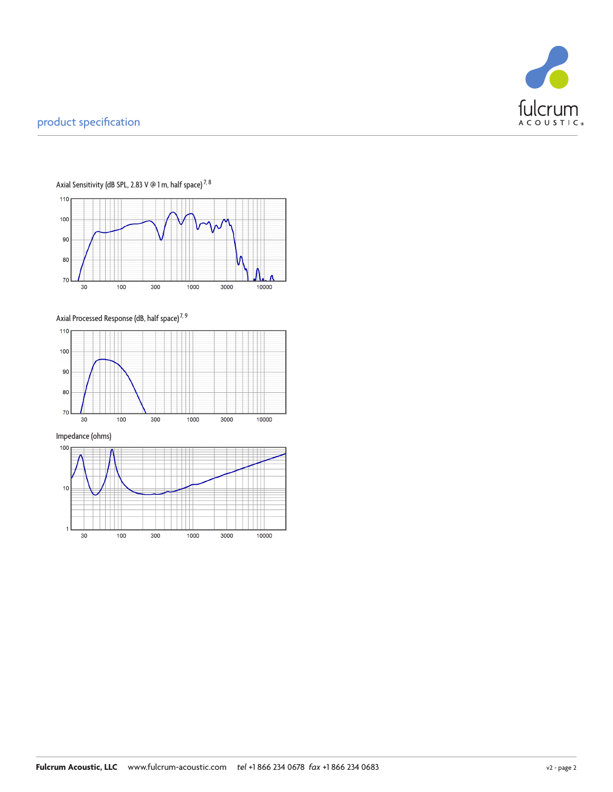



Axial Sensitivity (dB SPL, 2.83 V @ 1 m, half space)  $^{7,8}$ 

Axial Processed Response (dB, half space)<sup>7, 9</sup>

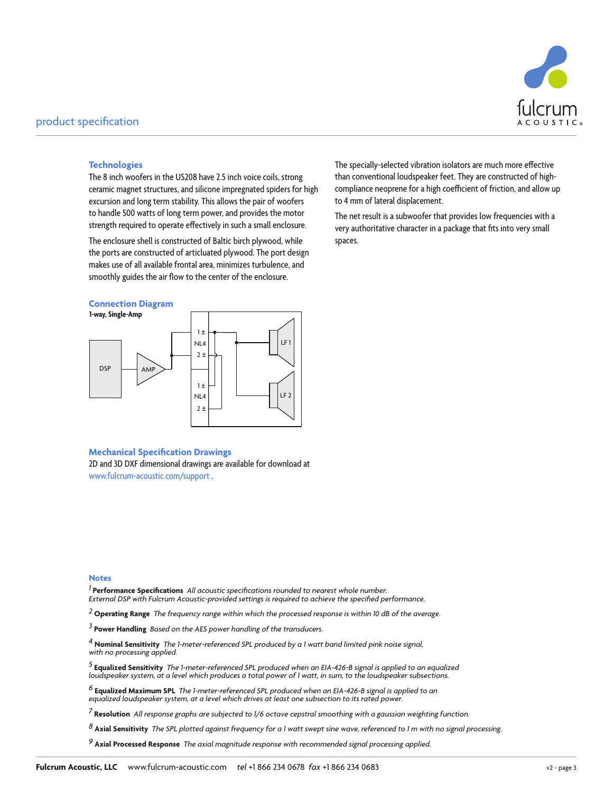

#### **Technologies**

The 8 inch woofers in the US208 have 2.5 inch voice coils, strong ceramic magnet structures, and silicone impregnated spiders for high excursion and long term stability. This allows the pair of woofers to handle 500 watts of long term power, and provides the motor strength required to operate effectively in such a small enclosure.

The enclosure shell is constructed of Baltic birch plywood, while the ports are constructed of articluated plywood. The port design makes use of all available frontal area, minimizes turbulence, and smoothly guides the air flow to the center of the enclosure.

#### **Connection Diagram**



The specially-selected vibration isolators are much more effective than conventional loudspeaker feet. They are constructed of highcompliance neoprene for a high coefficient of friction, and allow up to 4 mm of lateral displacement.

The net result is a subwoofer that provides low frequencies with a very authoritative character in a package that fits into very small spaces.

#### **Mechanical Specification Drawings**

2D and 3D DXF dimensional drawings are available for download at www.fulcrum-acoustic.com/support .

#### **Notes**

*1* **Performance Specifications** *All acoustic specifications rounded to nearest whole number. External DSP with Fulcrum Acoustic-provided settings is required to achieve the specified performance.*

*2* **Operating Range** *The frequency range within which the processed response is within 10 dB of the average.*

*3* **Power Handling** *Based on the AES power handling of the transducers.*

*4* **Nominal Sensitivity** *The 1-meter-referenced SPL produced by a 1 watt band limited pink noise signal, with no processing applied.*

<sup>5</sup> **Equalized Sensitivity** The 1-meter-referenced SPL produced when an EIA-426-B signal is applied to an equalized<br>loudspeaker system, at a level which produces a total power of 1 watt, in sum, to the loudspeaker subsecti

<sup>6</sup> **Equalized Maximum SPL** The 1-meter-referenced SPL produced when an EIA-426-B signal is applied to an<br>equalized loudspeaker system, at a level which drives at least one subsection to its rated power.

*7* **Resolution** *All response graphs are subjected to 1/6 octave cepstral smoothing with a gaussian weighting function.* 

*8* **Axial Sensitivity** *The SPL plotted against frequency for a 1 watt swept sine wave, referenced to 1 m with no signal processing.*

*9* **Axial Processed Response** *The axial magnitude response with recommended signal processing applied.*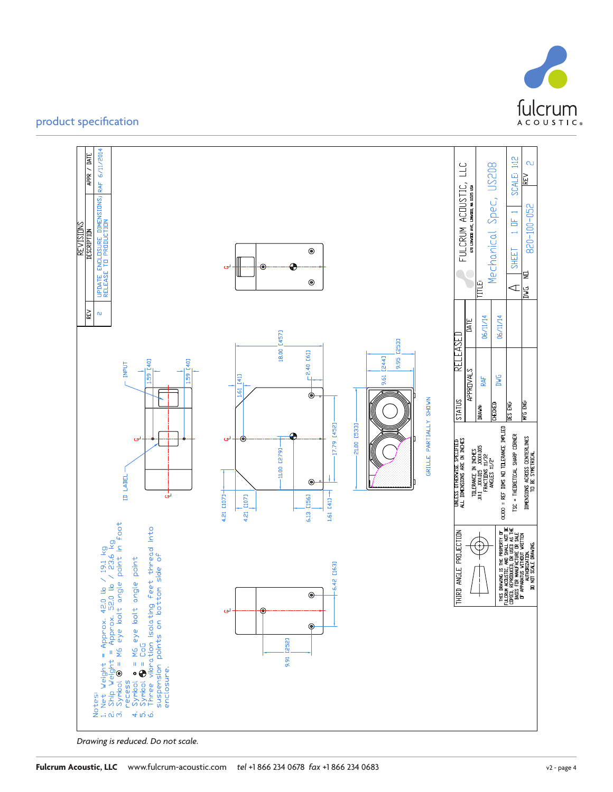